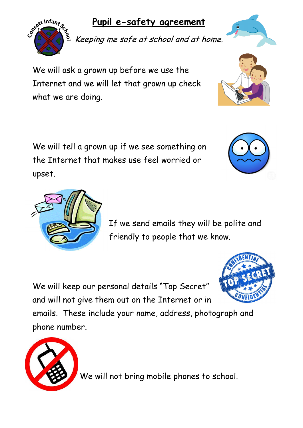## **Pupil e-safety agreement**

Keeping me safe at school and at home.

We will ask a grown up before we use the Internet and we will let that grown up check what we are doing.

We will tell a grown up if we see something on the Internet that makes use feel worried or upset.

> If we send emails they will be polite and friendly to people that we know.

We will keep our personal details "Top Secret" and will not give them out on the Internet or in

emails. These include your name, address, photograph and phone number.







Sett Infant